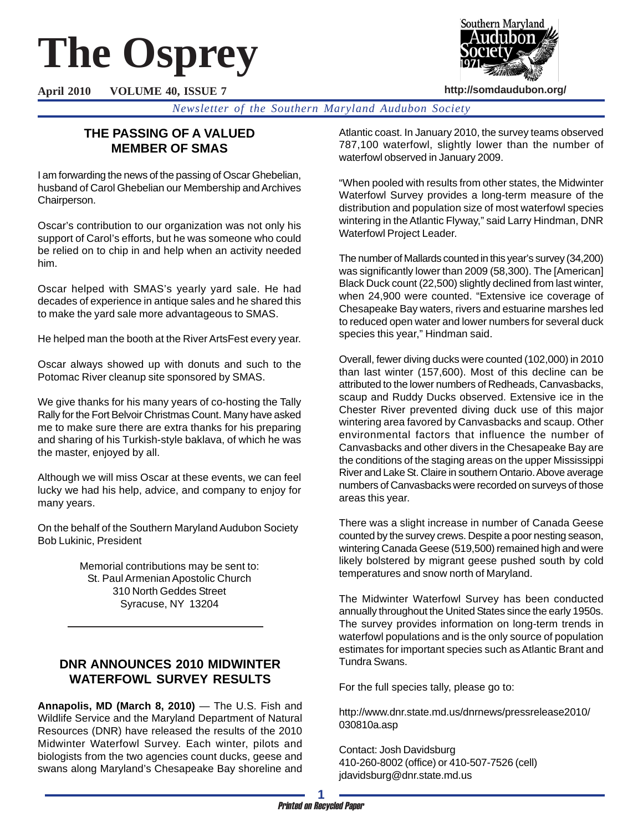# **The Osprey**



**http://somdaudubon.org/**

**April 2010 VOLUME 40, ISSUE 7**

*Newsletter of the Southern Maryland Audubon Society*

# **THE PASSING OF A VALUED MEMBER OF SMAS**

I am forwarding the news of the passing of Oscar Ghebelian, husband of Carol Ghebelian our Membership and Archives Chairperson.

Oscar's contribution to our organization was not only his support of Carol's efforts, but he was someone who could be relied on to chip in and help when an activity needed him.

Oscar helped with SMAS's yearly yard sale. He had decades of experience in antique sales and he shared this to make the yard sale more advantageous to SMAS.

He helped man the booth at the River ArtsFest every year.

Oscar always showed up with donuts and such to the Potomac River cleanup site sponsored by SMAS.

We give thanks for his many years of co-hosting the Tally Rally for the Fort Belvoir Christmas Count. Many have asked me to make sure there are extra thanks for his preparing and sharing of his Turkish-style baklava, of which he was the master, enjoyed by all.

Although we will miss Oscar at these events, we can feel lucky we had his help, advice, and company to enjoy for many years.

On the behalf of the Southern Maryland Audubon Society Bob Lukinic, President

> Memorial contributions may be sent to: St. Paul Armenian Apostolic Church 310 North Geddes Street Syracuse, NY 13204

# **DNR ANNOUNCES 2010 MIDWINTER WATERFOWL SURVEY RESULTS**

**Annapolis, MD (March 8, 2010)** — The U.S. Fish and Wildlife Service and the Maryland Department of Natural Resources (DNR) have released the results of the 2010 Midwinter Waterfowl Survey. Each winter, pilots and biologists from the two agencies count ducks, geese and swans along Maryland's Chesapeake Bay shoreline and Atlantic coast. In January 2010, the survey teams observed 787,100 waterfowl, slightly lower than the number of waterfowl observed in January 2009.

"When pooled with results from other states, the Midwinter Waterfowl Survey provides a long-term measure of the distribution and population size of most waterfowl species wintering in the Atlantic Flyway," said Larry Hindman, DNR Waterfowl Project Leader.

The number of Mallards counted in this year's survey (34,200) was significantly lower than 2009 (58,300). The [American] Black Duck count (22,500) slightly declined from last winter, when 24,900 were counted. "Extensive ice coverage of Chesapeake Bay waters, rivers and estuarine marshes led to reduced open water and lower numbers for several duck species this year," Hindman said.

Overall, fewer diving ducks were counted (102,000) in 2010 than last winter (157,600). Most of this decline can be attributed to the lower numbers of Redheads, Canvasbacks, scaup and Ruddy Ducks observed. Extensive ice in the Chester River prevented diving duck use of this major wintering area favored by Canvasbacks and scaup. Other environmental factors that influence the number of Canvasbacks and other divers in the Chesapeake Bay are the conditions of the staging areas on the upper Mississippi River and Lake St. Claire in southern Ontario. Above average numbers of Canvasbacks were recorded on surveys of those areas this year.

There was a slight increase in number of Canada Geese counted by the survey crews. Despite a poor nesting season, wintering Canada Geese (519,500) remained high and were likely bolstered by migrant geese pushed south by cold temperatures and snow north of Maryland.

The Midwinter Waterfowl Survey has been conducted annually throughout the United States since the early 1950s. The survey provides information on long-term trends in waterfowl populations and is the only source of population estimates for important species such as Atlantic Brant and Tundra Swans.

For the full species tally, please go to:

http://www.dnr.state.md.us/dnrnews/pressrelease2010/ 030810a.asp

Contact: Josh Davidsburg 410-260-8002 (office) or 410-507-7526 (cell) jdavidsburg@dnr.state.md.us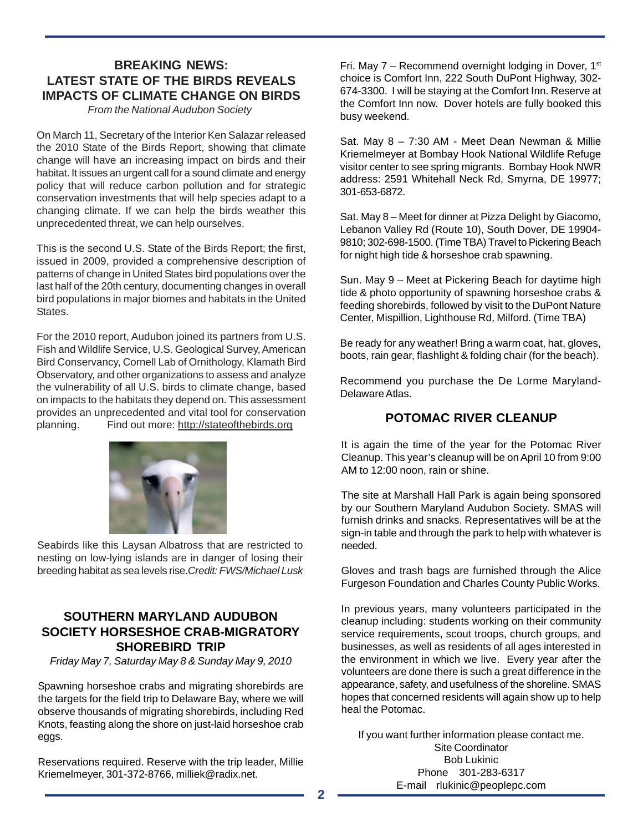# **BREAKING NEWS: LATEST STATE OF THE BIRDS REVEALS IMPACTS OF CLIMATE CHANGE ON BIRDS**

*From the National Audubon Society* 

On March 11, Secretary of the Interior Ken Salazar released the 2010 State of the Birds Report, showing that climate change will have an increasing impact on birds and their habitat. It issues an urgent call for a sound climate and energy policy that will reduce carbon pollution and for strategic conservation investments that will help species adapt to a changing climate. If we can help the birds weather this unprecedented threat, we can help ourselves.

This is the second U.S. State of the Birds Report; the first, issued in 2009, provided a comprehensive description of patterns of change in United States bird populations over the last half of the 20th century, documenting changes in overall bird populations in major biomes and habitats in the United States.

For the 2010 report, Audubon joined its partners from U.S. Fish and Wildlife Service, U.S. Geological Survey, American Bird Conservancy, Cornell Lab of Ornithology, Klamath Bird Observatory, and other organizations to assess and analyze the vulnerability of all U.S. birds to climate change, based on impacts to the habitats they depend on. This assessment provides an unprecedented and vital tool for conservation planning. Find out more: http://stateofthebirds.org



Seabirds like this Laysan Albatross that are restricted to nesting on low-lying islands are in danger of losing their breeding habitat as sea levels rise.*Credit: FWS/Michael Lusk*

# **SOUTHERN MARYLAND AUDUBON SOCIETY HORSESHOE CRAB-MIGRATORY SHOREBIRD TRIP**

*Friday May 7, Saturday May 8 & Sunday May 9, 2010*

Spawning horseshoe crabs and migrating shorebirds are the targets for the field trip to Delaware Bay, where we will observe thousands of migrating shorebirds, including Red Knots, feasting along the shore on just-laid horseshoe crab eggs.

Reservations required. Reserve with the trip leader, Millie Kriemelmeyer, 301-372-8766, milliek@radix.net.

Fri. May  $7 -$  Recommend overnight lodging in Dover,  $1<sup>st</sup>$ choice is Comfort Inn, 222 South DuPont Highway, 302- 674-3300. I will be staying at the Comfort Inn. Reserve at the Comfort Inn now. Dover hotels are fully booked this busy weekend.

Sat. May 8 – 7:30 AM - Meet Dean Newman & Millie Kriemelmeyer at Bombay Hook National Wildlife Refuge visitor center to see spring migrants. Bombay Hook NWR address: 2591 Whitehall Neck Rd, Smyrna, DE 19977; 301-653-6872.

Sat. May 8 – Meet for dinner at Pizza Delight by Giacomo, Lebanon Valley Rd (Route 10), South Dover, DE 19904- 9810; 302-698-1500. (Time TBA) Travel to Pickering Beach for night high tide & horseshoe crab spawning.

Sun. May 9 – Meet at Pickering Beach for daytime high tide & photo opportunity of spawning horseshoe crabs & feeding shorebirds, followed by visit to the DuPont Nature Center, Mispillion, Lighthouse Rd, Milford. (Time TBA)

Be ready for any weather! Bring a warm coat, hat, gloves, boots, rain gear, flashlight & folding chair (for the beach).

Recommend you purchase the De Lorme Maryland-Delaware Atlas.

# **POTOMAC RIVER CLEANUP**

It is again the time of the year for the Potomac River Cleanup. This year's cleanup will be on April 10 from 9:00 AM to 12:00 noon, rain or shine.

The site at Marshall Hall Park is again being sponsored by our Southern Maryland Audubon Society. SMAS will furnish drinks and snacks. Representatives will be at the sign-in table and through the park to help with whatever is needed.

Gloves and trash bags are furnished through the Alice Furgeson Foundation and Charles County Public Works.

In previous years, many volunteers participated in the cleanup including: students working on their community service requirements, scout troops, church groups, and businesses, as well as residents of all ages interested in the environment in which we live. Every year after the volunteers are done there is such a great difference in the appearance, safety, and usefulness of the shoreline. SMAS hopes that concerned residents will again show up to help heal the Potomac.

If you want further information please contact me. Site Coordinator Bob Lukinic Phone 301-283-6317 E-mail rlukinic@peoplepc.com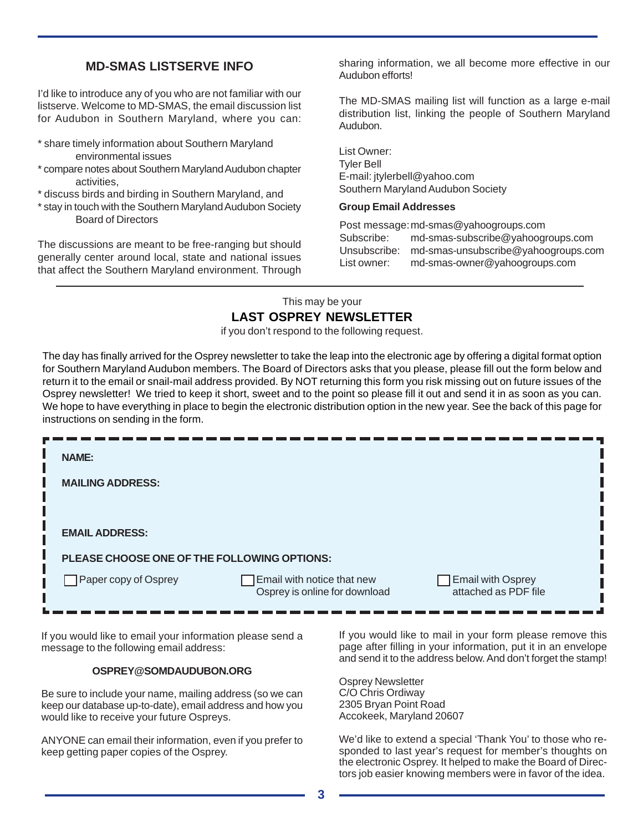# **MD-SMAS LISTSERVE INFO**

I'd like to introduce any of you who are not familiar with our listserve. Welcome to MD-SMAS, the email discussion list for Audubon in Southern Maryland, where you can:

- \* share timely information about Southern Maryland environmental issues
- \* compare notes about Southern Maryland Audubon chapter activities,

\* discuss birds and birding in Southern Maryland, and

\* stay in touch with the Southern Maryland Audubon Society Board of Directors

The discussions are meant to be free-ranging but should generally center around local, state and national issues that affect the Southern Maryland environment. Through sharing information, we all become more effective in our Audubon efforts!

The MD-SMAS mailing list will function as a large e-mail distribution list, linking the people of Southern Maryland Audubon.

List Owner: Tyler Bell E-mail: jtylerbell@yahoo.com Southern Maryland Audubon Society

## **Group Email Addresses**

Post message:md-smas@yahoogroups.com Subscribe: md-smas-subscribe@yahoogroups.com Unsubscribe: md-smas-unsubscribe@yahoogroups.com List owner: md-smas-owner@yahoogroups.com

## This may be your **LAST OSPREY NEWSLETTER**

if you don't respond to the following request.

The day has finally arrived for the Osprey newsletter to take the leap into the electronic age by offering a digital format option for Southern Maryland Audubon members. The Board of Directors asks that you please, please fill out the form below and return it to the email or snail-mail address provided. By NOT returning this form you risk missing out on future issues of the Osprey newsletter! We tried to keep it short, sweet and to the point so please fill it out and send it in as soon as you can. We hope to have everything in place to begin the electronic distribution option in the new year. See the back of this page for instructions on sending in the form.

| <b>NAME:</b>                                |                                                             |                                                           |
|---------------------------------------------|-------------------------------------------------------------|-----------------------------------------------------------|
| <b>MAILING ADDRESS:</b>                     |                                                             |                                                           |
|                                             |                                                             |                                                           |
| <b>EMAIL ADDRESS:</b>                       |                                                             |                                                           |
| PLEASE CHOOSE ONE OF THE FOLLOWING OPTIONS: |                                                             |                                                           |
| Paper copy of Osprey                        | Email with notice that new<br>Osprey is online for download | <b>Email with Osprey</b><br>attached as PDF file          |
|                                             |                                                             | If you would like to mail in your form places remove this |

If you would like to email your information please send a message to the following email address:

## **OSPREY@SOMDAUDUBON.ORG**

Be sure to include your name, mailing address (so we can keep our database up-to-date), email address and how you would like to receive your future Ospreys.

ANYONE can email their information, even if you prefer to keep getting paper copies of the Osprey.

If you would like to mail in your form please remove this page after filling in your information, put it in an envelope and send it to the address below. And don't forget the stamp!

Osprey Newsletter C/O Chris Ordiway 2305 Bryan Point Road Accokeek, Maryland 20607

We'd like to extend a special 'Thank You' to those who responded to last year's request for member's thoughts on the electronic Osprey. It helped to make the Board of Directors job easier knowing members were in favor of the idea.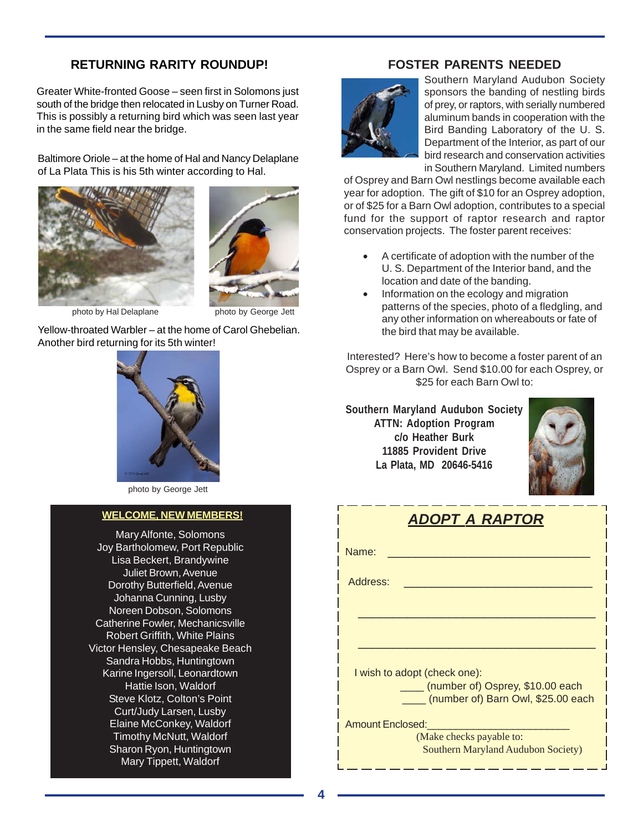# **RETURNING RARITY ROUNDUP!**

Greater White-fronted Goose – seen first in Solomons just south of the bridge then relocated in Lusby on Turner Road. This is possibly a returning bird which was seen last year in the same field near the bridge.

Baltimore Oriole – at the home of Hal and Nancy Delaplane of La Plata This is his 5th winter according to Hal.





photo by Hal Delaplane photo by George Jett

Yellow-throated Warbler – at the home of Carol Ghebelian. Another bird returning for its 5th winter!



photo by George Jett

## **WELCOME, NEW MEMBERS!**

Mary Alfonte, Solomons Joy Bartholomew, Port Republic Lisa Beckert, Brandywine Juliet Brown, Avenue Dorothy Butterfield, Avenue Johanna Cunning, Lusby Noreen Dobson, Solomons Catherine Fowler, Mechanicsville Robert Griffith, White Plains Victor Hensley, Chesapeake Beach Sandra Hobbs, Huntingtown Karine Ingersoll, Leonardtown Hattie Ison, Waldorf Steve Klotz, Colton's Point Curt/Judy Larsen, Lusby Elaine McConkey, Waldorf Timothy McNutt, Waldorf Sharon Ryon, Huntingtown Mary Tippett, Waldorf

# **FOSTER PARENTS NEEDED**



Southern Maryland Audubon Society sponsors the banding of nestling birds of prey, or raptors, with serially numbered aluminum bands in cooperation with the Bird Banding Laboratory of the U. S. Department of the Interior, as part of our bird research and conservation activities in Southern Maryland. Limited numbers

of Osprey and Barn Owl nestlings become available each year for adoption. The gift of \$10 for an Osprey adoption, or of \$25 for a Barn Owl adoption, contributes to a special fund for the support of raptor research and raptor conservation projects. The foster parent receives:

- A certificate of adoption with the number of the U. S. Department of the Interior band, and the location and date of the banding.
- Information on the ecology and migration patterns of the species, photo of a fledgling, and any other information on whereabouts or fate of the bird that may be available.

Interested? Here's how to become a foster parent of an Osprey or a Barn Owl. Send \$10.00 for each Osprey, or \$25 for each Barn Owl to:

**Southern Maryland Audubon Society ATTN: Adoption Program c/o Heather Burk 11885 Provident Drive La Plata, MD 20646-5416**



| ADOPT A RAPTOR                                                         |  |  |  |  |  |  |
|------------------------------------------------------------------------|--|--|--|--|--|--|
| Name:                                                                  |  |  |  |  |  |  |
| Address:                                                               |  |  |  |  |  |  |
|                                                                        |  |  |  |  |  |  |
|                                                                        |  |  |  |  |  |  |
| I wish to adopt (check one):                                           |  |  |  |  |  |  |
| (number of) Osprey, \$10.00 each<br>(number of) Barn Owl, \$25.00 each |  |  |  |  |  |  |
| <b>Amount Enclosed:</b>                                                |  |  |  |  |  |  |
| (Make checks payable to:<br><b>Southern Maryland Audubon Society)</b>  |  |  |  |  |  |  |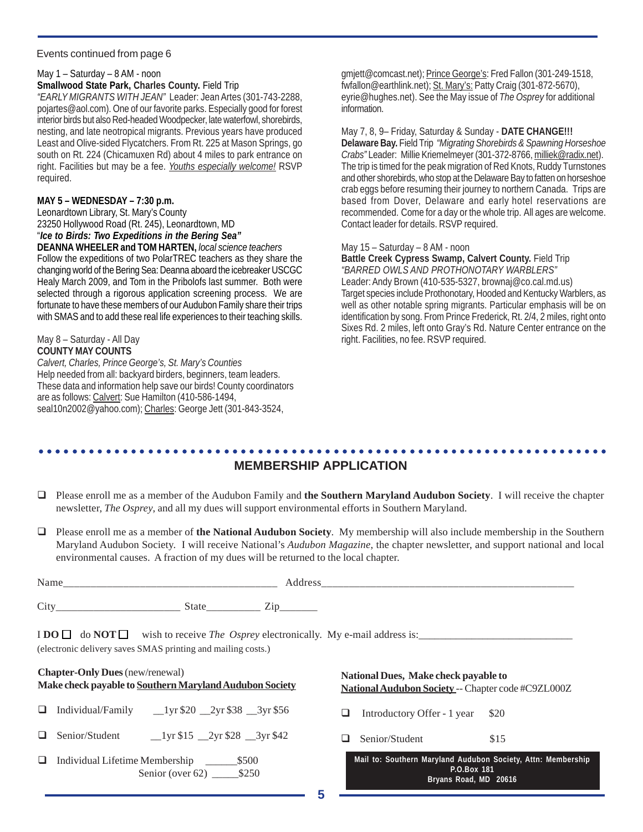#### Events continued from page 6

## May 1 – Saturday – 8 AM - noon

## **Smallwood State Park, Charles County.** Field Trip

*"EARLY MIGRANTS WITH JEAN"* Leader: Jean Artes (301-743-2288, pojartes@aol.com). One of our favorite parks. Especially good for forest interior birds but also Red-headed Woodpecker, late waterfowl, shorebirds, nesting, and late neotropical migrants. Previous years have produced Least and Olive-sided Flycatchers. From Rt. 225 at Mason Springs, go south on Rt. 224 (Chicamuxen Rd) about 4 miles to park entrance on right. Facilities but may be a fee. *Youths especially welcome!* RSVP required.

## **MAY 5 – WEDNESDAY – 7:30 p.m.**

Leonardtown Library, St. Mary's County 23250 Hollywood Road (Rt. 245), Leonardtown, MD "*Ice to Birds: Two Expeditions in the Bering Sea"*

**DEANNA WHEELER and TOM HARTEN,** *local science teachers*

Follow the expeditions of two PolarTREC teachers as they share the changing world of the Bering Sea: Deanna aboard the icebreaker USCGC Healy March 2009, and Tom in the Pribolofs last summer. Both were selected through a rigorous application screening process. We are fortunate to have these members of our Audubon Family share their trips with SMAS and to add these real life experiences to their teaching skills.

#### May 8 – Saturday - All Day **COUNTY MAY COUNTS**

*Calvert, Charles, Prince George's, St. Mary's Counties* Help needed from all: backyard birders, beginners, team leaders. These data and information help save our birds! County coordinators are as follows: Calvert: Sue Hamilton (410-586-1494, seal10n2002@yahoo.com); Charles: George Jett (301-843-3524,

gmjett@comcast.net); Prince George's: Fred Fallon (301-249-1518, fwfallon@earthlink.net); St. Mary's: Patty Craig (301-872-5670), eyrie@hughes.net). See the May issue of *The Osprey* for additional information.

## May 7, 8, 9– Friday, Saturday & Sunday - **DATE CHANGE!!!**

**Delaware Bay.** Field Trip*"Migrating Shorebirds & Spawning Horseshoe Crabs"* Leader: Millie Kriemelmeyer (301-372-8766, milliek@radix.net). The trip is timed for the peak migration of Red Knots, Ruddy Turnstones and other shorebirds, who stop at the Delaware Bay to fatten on horseshoe crab eggs before resuming their journey to northern Canada. Trips are based from Dover, Delaware and early hotel reservations are recommended. Come for a day or the whole trip. All ages are welcome. Contact leader for details. RSVP required.

## May 15 – Saturday – 8 AM - noon

**Battle Creek Cypress Swamp, Calvert County.** Field Trip *"BARRED OWLS AND PROTHONOTARY WARBLERS"* Leader: Andy Brown (410-535-5327, brownaj@co.cal.md.us) Target species include Prothonotary, Hooded and Kentucky Warblers, as well as other notable spring migrants. Particular emphasis will be on identification by song. From Prince Frederick, Rt. 2/4, 2 miles, right onto Sixes Rd. 2 miles, left onto Gray's Rd. Nature Center entrance on the right. Facilities, no fee. RSVP required.

#### ○○○○○○○○○○○○○○○○○○○○○○○○○○○○○○○○○○○○○○○○○○○○ ○○○○○○○○○○○○○○○○○○○○○○○○ **MEMBERSHIP APPLICATION**

- Please enroll me as a member of the Audubon Family and **the Southern Maryland Audubon Society**. I will receive the chapter newsletter, *The Osprey*, and all my dues will support environmental efforts in Southern Maryland.
- Please enroll me as a member of **the National Audubon Society**. My membership will also include membership in the Southern Maryland Audubon Society. I will receive National's *Audubon Magazine*, the chapter newsletter, and support national and local environmental causes. A fraction of my dues will be returned to the local chapter.

| Nam. |   |          |
|------|---|----------|
| City | ຼ | -        |
|      |   | ________ |

 $\text{I} \text{DO} \square \text{ do } \text{NOT} \square$  wish to receive *The Osprey* electronically. My e-mail address is: (electronic delivery saves SMAS printing and mailing costs.)

# **Chapter-Only Dues** (new/renewal) **Make check payable to Southern Maryland Audubon Society**

- $\Box$  Individual/Family  $\Box$ 1yr \$20  $\Box$ 2yr \$38  $\Box$ 3yr \$56
- $\Box$  Senior/Student  $\Box$ 1yr \$15  $\Box$ 2yr \$28  $\Box$ 3yr \$42
- Individual Lifetime Membership \_\_\_\_\_\_\$500 Senior (over 62) \_\_\_\_\_\_\_ \$250

**National Dues, Make check payable to National Audubon Society** -- Chapter code #C9ZL000Z

 $\Box$  Introductory Offer - 1 year \$20

 $\Box$  Senior/Student \$15

|             |  |  |  |                       |  |  | Mail to: Southern Maryland Audubon Society, Attn: Membership |
|-------------|--|--|--|-----------------------|--|--|--------------------------------------------------------------|
| P.O.Box 181 |  |  |  |                       |  |  |                                                              |
|             |  |  |  | Bryans Road, MD 20616 |  |  |                                                              |